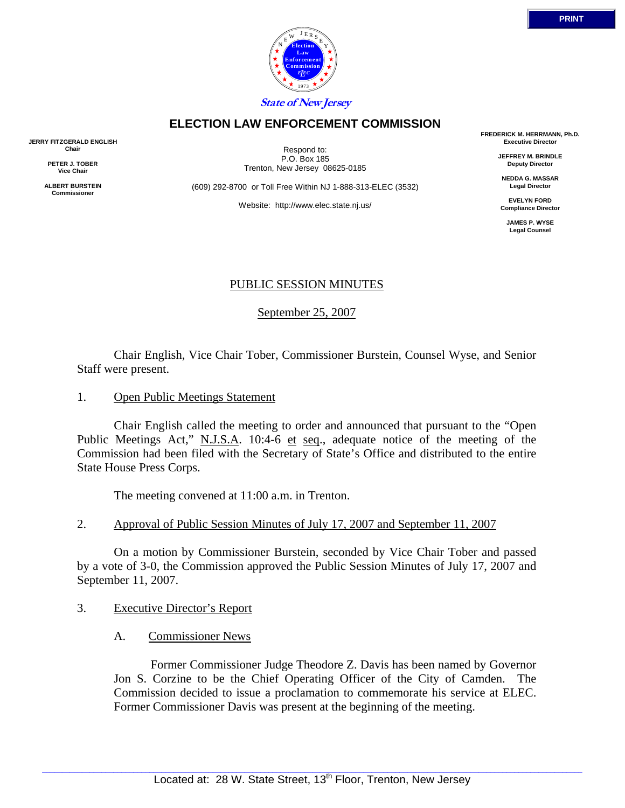

### **ELECTION LAW ENFORCEMENT COMMISSION**

**JERRY FITZGERALD ENGLISH Chair** 

> **PETER J. TOBER Vice Chair**

**ALBERT BURSTEIN Commissioner** 

Respond to: P.O. Box 185 Trenton, New Jersey 08625-0185

(609) 292-8700 or Toll Free Within NJ 1-888-313-ELEC (3532)

Website: http://www.elec.state.nj.us/

**FREDERICK M. HERRMANN, Ph.D. Executive Director** 

> **JEFFREY M. BRINDLE Deputy Director**

**NEDDA G. MASSAR Legal Director** 

**EVELYN FORD Compliance Director** 

**JAMES P. WYSE Legal Counsel** 

### PUBLIC SESSION MINUTES

September 25, 2007

 Chair English, Vice Chair Tober, Commissioner Burstein, Counsel Wyse, and Senior Staff were present.

1. Open Public Meetings Statement

 Chair English called the meeting to order and announced that pursuant to the "Open Public Meetings Act," N.J.S.A. 10:4-6 et seq., adequate notice of the meeting of the Commission had been filed with the Secretary of State's Office and distributed to the entire State House Press Corps.

The meeting convened at 11:00 a.m. in Trenton.

2. Approval of Public Session Minutes of July 17, 2007 and September 11, 2007

 On a motion by Commissioner Burstein, seconded by Vice Chair Tober and passed by a vote of 3-0, the Commission approved the Public Session Minutes of July 17, 2007 and September 11, 2007.

- 3. Executive Director's Report
	- A. Commissioner News

 Former Commissioner Judge Theodore Z. Davis has been named by Governor Jon S. Corzine to be the Chief Operating Officer of the City of Camden. The Commission decided to issue a proclamation to commemorate his service at ELEC. Former Commissioner Davis was present at the beginning of the meeting.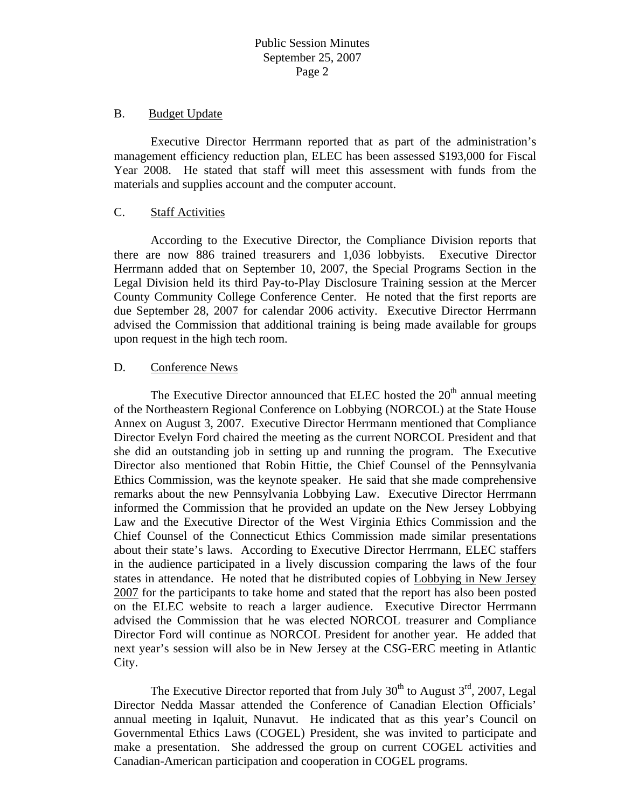#### B. Budget Update

 Executive Director Herrmann reported that as part of the administration's management efficiency reduction plan, ELEC has been assessed \$193,000 for Fiscal Year 2008. He stated that staff will meet this assessment with funds from the materials and supplies account and the computer account.

### C. Staff Activities

 According to the Executive Director, the Compliance Division reports that there are now 886 trained treasurers and 1,036 lobbyists. Executive Director Herrmann added that on September 10, 2007, the Special Programs Section in the Legal Division held its third Pay-to-Play Disclosure Training session at the Mercer County Community College Conference Center. He noted that the first reports are due September 28, 2007 for calendar 2006 activity. Executive Director Herrmann advised the Commission that additional training is being made available for groups upon request in the high tech room.

### D. Conference News

The Executive Director announced that ELEC hosted the  $20<sup>th</sup>$  annual meeting of the Northeastern Regional Conference on Lobbying (NORCOL) at the State House Annex on August 3, 2007. Executive Director Herrmann mentioned that Compliance Director Evelyn Ford chaired the meeting as the current NORCOL President and that she did an outstanding job in setting up and running the program. The Executive Director also mentioned that Robin Hittie, the Chief Counsel of the Pennsylvania Ethics Commission, was the keynote speaker. He said that she made comprehensive remarks about the new Pennsylvania Lobbying Law. Executive Director Herrmann informed the Commission that he provided an update on the New Jersey Lobbying Law and the Executive Director of the West Virginia Ethics Commission and the Chief Counsel of the Connecticut Ethics Commission made similar presentations about their state's laws. According to Executive Director Herrmann, ELEC staffers in the audience participated in a lively discussion comparing the laws of the four states in attendance. He noted that he distributed copies of Lobbying in New Jersey 2007 for the participants to take home and stated that the report has also been posted on the ELEC website to reach a larger audience. Executive Director Herrmann advised the Commission that he was elected NORCOL treasurer and Compliance Director Ford will continue as NORCOL President for another year. He added that next year's session will also be in New Jersey at the CSG-ERC meeting in Atlantic City.

The Executive Director reported that from July  $30<sup>th</sup>$  to August  $3<sup>rd</sup>$ , 2007, Legal Director Nedda Massar attended the Conference of Canadian Election Officials' annual meeting in Iqaluit, Nunavut. He indicated that as this year's Council on Governmental Ethics Laws (COGEL) President, she was invited to participate and make a presentation. She addressed the group on current COGEL activities and Canadian-American participation and cooperation in COGEL programs.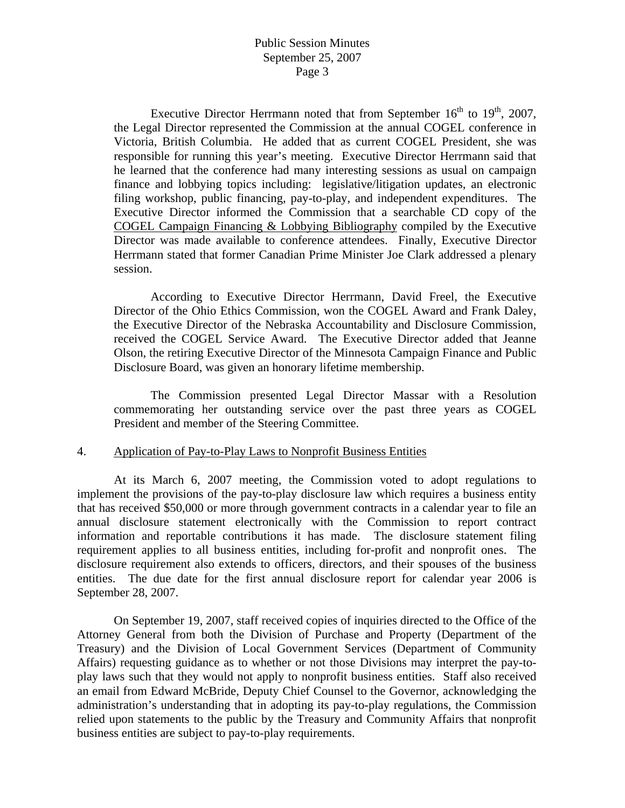Executive Director Herrmann noted that from September  $16<sup>th</sup>$  to  $19<sup>th</sup>$ , 2007, the Legal Director represented the Commission at the annual COGEL conference in Victoria, British Columbia. He added that as current COGEL President, she was responsible for running this year's meeting. Executive Director Herrmann said that he learned that the conference had many interesting sessions as usual on campaign finance and lobbying topics including: legislative/litigation updates, an electronic filing workshop, public financing, pay-to-play, and independent expenditures. The Executive Director informed the Commission that a searchable CD copy of the COGEL Campaign Financing & Lobbying Bibliography compiled by the Executive Director was made available to conference attendees. Finally, Executive Director Herrmann stated that former Canadian Prime Minister Joe Clark addressed a plenary session.

 According to Executive Director Herrmann, David Freel, the Executive Director of the Ohio Ethics Commission, won the COGEL Award and Frank Daley, the Executive Director of the Nebraska Accountability and Disclosure Commission, received the COGEL Service Award. The Executive Director added that Jeanne Olson, the retiring Executive Director of the Minnesota Campaign Finance and Public Disclosure Board, was given an honorary lifetime membership.

 The Commission presented Legal Director Massar with a Resolution commemorating her outstanding service over the past three years as COGEL President and member of the Steering Committee.

#### 4. Application of Pay-to-Play Laws to Nonprofit Business Entities

 At its March 6, 2007 meeting, the Commission voted to adopt regulations to implement the provisions of the pay-to-play disclosure law which requires a business entity that has received \$50,000 or more through government contracts in a calendar year to file an annual disclosure statement electronically with the Commission to report contract information and reportable contributions it has made. The disclosure statement filing requirement applies to all business entities, including for-profit and nonprofit ones. The disclosure requirement also extends to officers, directors, and their spouses of the business entities. The due date for the first annual disclosure report for calendar year 2006 is September 28, 2007.

 On September 19, 2007, staff received copies of inquiries directed to the Office of the Attorney General from both the Division of Purchase and Property (Department of the Treasury) and the Division of Local Government Services (Department of Community Affairs) requesting guidance as to whether or not those Divisions may interpret the pay-toplay laws such that they would not apply to nonprofit business entities. Staff also received an email from Edward McBride, Deputy Chief Counsel to the Governor, acknowledging the administration's understanding that in adopting its pay-to-play regulations, the Commission relied upon statements to the public by the Treasury and Community Affairs that nonprofit business entities are subject to pay-to-play requirements.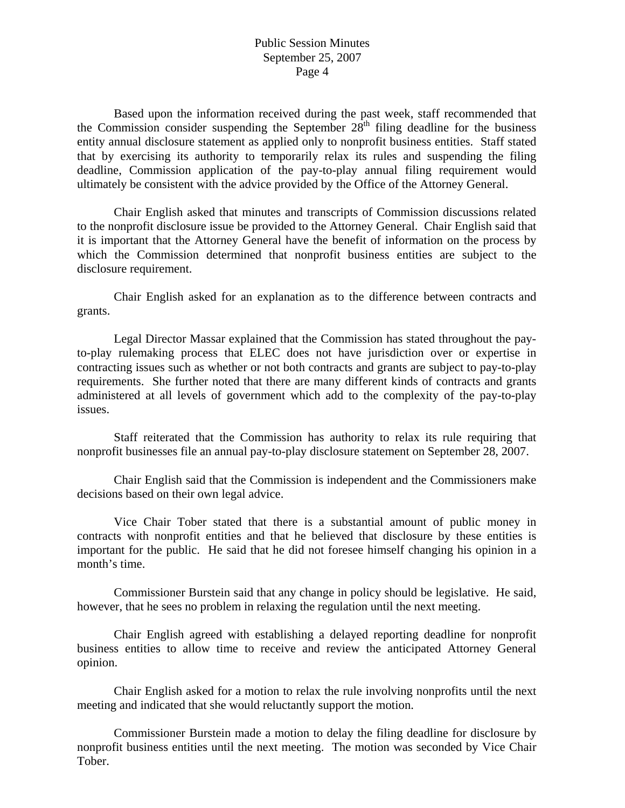Based upon the information received during the past week, staff recommended that the Commission consider suspending the September  $28<sup>th</sup>$  filing deadline for the business entity annual disclosure statement as applied only to nonprofit business entities. Staff stated that by exercising its authority to temporarily relax its rules and suspending the filing deadline, Commission application of the pay-to-play annual filing requirement would ultimately be consistent with the advice provided by the Office of the Attorney General.

 Chair English asked that minutes and transcripts of Commission discussions related to the nonprofit disclosure issue be provided to the Attorney General. Chair English said that it is important that the Attorney General have the benefit of information on the process by which the Commission determined that nonprofit business entities are subject to the disclosure requirement.

 Chair English asked for an explanation as to the difference between contracts and grants.

 Legal Director Massar explained that the Commission has stated throughout the payto-play rulemaking process that ELEC does not have jurisdiction over or expertise in contracting issues such as whether or not both contracts and grants are subject to pay-to-play requirements. She further noted that there are many different kinds of contracts and grants administered at all levels of government which add to the complexity of the pay-to-play issues.

 Staff reiterated that the Commission has authority to relax its rule requiring that nonprofit businesses file an annual pay-to-play disclosure statement on September 28, 2007.

 Chair English said that the Commission is independent and the Commissioners make decisions based on their own legal advice.

 Vice Chair Tober stated that there is a substantial amount of public money in contracts with nonprofit entities and that he believed that disclosure by these entities is important for the public. He said that he did not foresee himself changing his opinion in a month's time.

 Commissioner Burstein said that any change in policy should be legislative. He said, however, that he sees no problem in relaxing the regulation until the next meeting.

 Chair English agreed with establishing a delayed reporting deadline for nonprofit business entities to allow time to receive and review the anticipated Attorney General opinion.

 Chair English asked for a motion to relax the rule involving nonprofits until the next meeting and indicated that she would reluctantly support the motion.

 Commissioner Burstein made a motion to delay the filing deadline for disclosure by nonprofit business entities until the next meeting. The motion was seconded by Vice Chair Tober.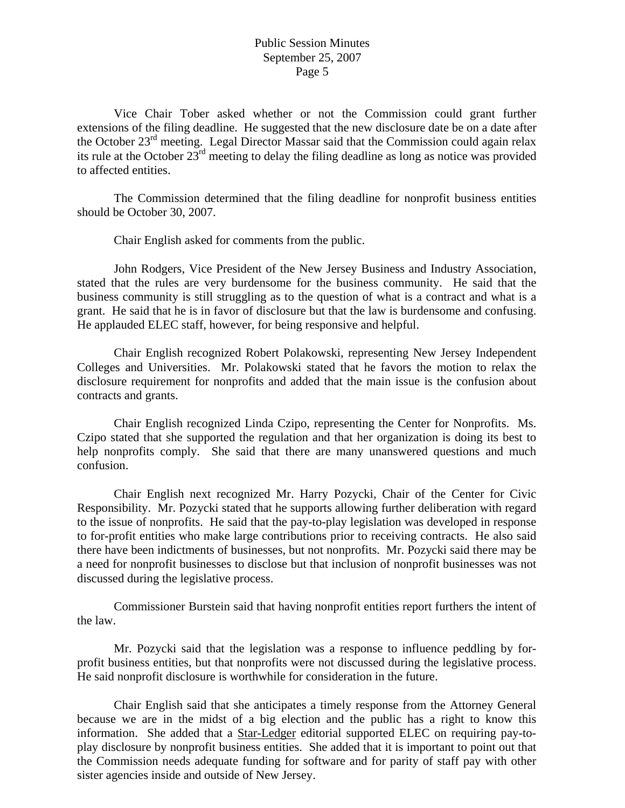Vice Chair Tober asked whether or not the Commission could grant further extensions of the filing deadline. He suggested that the new disclosure date be on a date after the October 23rd meeting. Legal Director Massar said that the Commission could again relax its rule at the October  $23<sup>rd</sup>$  meeting to delay the filing deadline as long as notice was provided to affected entities.

 The Commission determined that the filing deadline for nonprofit business entities should be October 30, 2007.

Chair English asked for comments from the public.

 John Rodgers, Vice President of the New Jersey Business and Industry Association, stated that the rules are very burdensome for the business community. He said that the business community is still struggling as to the question of what is a contract and what is a grant. He said that he is in favor of disclosure but that the law is burdensome and confusing. He applauded ELEC staff, however, for being responsive and helpful.

 Chair English recognized Robert Polakowski, representing New Jersey Independent Colleges and Universities. Mr. Polakowski stated that he favors the motion to relax the disclosure requirement for nonprofits and added that the main issue is the confusion about contracts and grants.

 Chair English recognized Linda Czipo, representing the Center for Nonprofits. Ms. Czipo stated that she supported the regulation and that her organization is doing its best to help nonprofits comply. She said that there are many unanswered questions and much confusion.

 Chair English next recognized Mr. Harry Pozycki, Chair of the Center for Civic Responsibility. Mr. Pozycki stated that he supports allowing further deliberation with regard to the issue of nonprofits. He said that the pay-to-play legislation was developed in response to for-profit entities who make large contributions prior to receiving contracts. He also said there have been indictments of businesses, but not nonprofits. Mr. Pozycki said there may be a need for nonprofit businesses to disclose but that inclusion of nonprofit businesses was not discussed during the legislative process.

 Commissioner Burstein said that having nonprofit entities report furthers the intent of the law.

 Mr. Pozycki said that the legislation was a response to influence peddling by forprofit business entities, but that nonprofits were not discussed during the legislative process. He said nonprofit disclosure is worthwhile for consideration in the future.

 Chair English said that she anticipates a timely response from the Attorney General because we are in the midst of a big election and the public has a right to know this information. She added that a Star-Ledger editorial supported ELEC on requiring pay-toplay disclosure by nonprofit business entities. She added that it is important to point out that the Commission needs adequate funding for software and for parity of staff pay with other sister agencies inside and outside of New Jersey.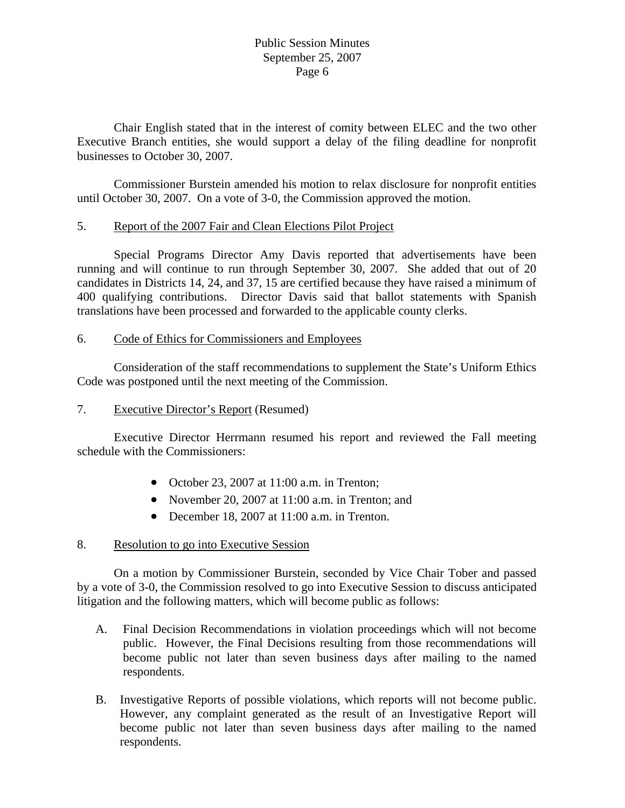Chair English stated that in the interest of comity between ELEC and the two other Executive Branch entities, she would support a delay of the filing deadline for nonprofit businesses to October 30, 2007.

 Commissioner Burstein amended his motion to relax disclosure for nonprofit entities until October 30, 2007. On a vote of 3-0, the Commission approved the motion.

### 5. Report of the 2007 Fair and Clean Elections Pilot Project

 Special Programs Director Amy Davis reported that advertisements have been running and will continue to run through September 30, 2007. She added that out of 20 candidates in Districts 14, 24, and 37, 15 are certified because they have raised a minimum of 400 qualifying contributions. Director Davis said that ballot statements with Spanish translations have been processed and forwarded to the applicable county clerks.

#### 6. Code of Ethics for Commissioners and Employees

 Consideration of the staff recommendations to supplement the State's Uniform Ethics Code was postponed until the next meeting of the Commission.

### 7. Executive Director's Report (Resumed)

 Executive Director Herrmann resumed his report and reviewed the Fall meeting schedule with the Commissioners:

- October 23, 2007 at 11:00 a.m. in Trenton;
- November 20, 2007 at 11:00 a.m. in Trenton; and
- December 18, 2007 at 11:00 a.m. in Trenton.

### 8. Resolution to go into Executive Session

 On a motion by Commissioner Burstein, seconded by Vice Chair Tober and passed by a vote of 3-0, the Commission resolved to go into Executive Session to discuss anticipated litigation and the following matters, which will become public as follows:

- A. Final Decision Recommendations in violation proceedings which will not become public. However, the Final Decisions resulting from those recommendations will become public not later than seven business days after mailing to the named respondents.
- B. Investigative Reports of possible violations, which reports will not become public. However, any complaint generated as the result of an Investigative Report will become public not later than seven business days after mailing to the named respondents.